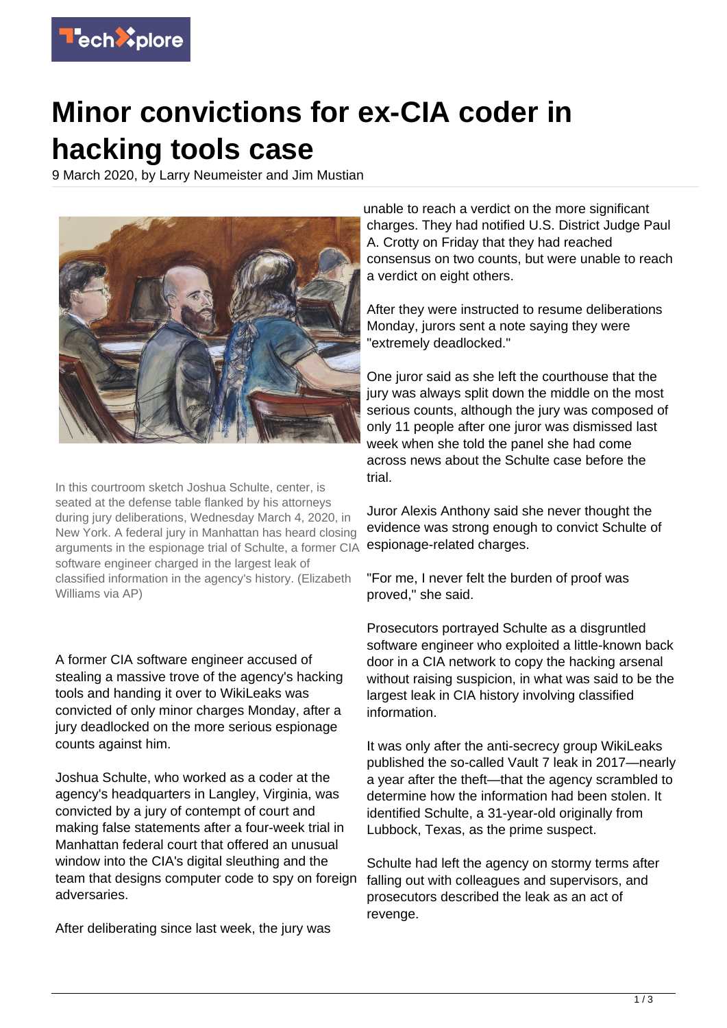

## **Minor convictions for ex-CIA coder in hacking tools case**

9 March 2020, by Larry Neumeister and Jim Mustian



In this courtroom sketch Joshua Schulte, center, is seated at the defense table flanked by his attorneys during jury deliberations, Wednesday March 4, 2020, in New York. A federal jury in Manhattan has heard closing arguments in the espionage trial of Schulte, a former CIA software engineer charged in the largest leak of classified information in the agency's history. (Elizabeth Williams via AP)

A former CIA software engineer accused of stealing a massive trove of the agency's hacking tools and handing it over to WikiLeaks was convicted of only minor charges Monday, after a jury deadlocked on the more serious espionage counts against him.

Joshua Schulte, who worked as a coder at the agency's headquarters in Langley, Virginia, was convicted by a jury of contempt of court and making false statements after a four-week trial in Manhattan federal court that offered an unusual window into the CIA's digital sleuthing and the team that designs computer code to spy on foreign adversaries.

After deliberating since last week, the jury was

unable to reach a verdict on the more significant charges. They had notified U.S. District Judge Paul A. Crotty on Friday that they had reached consensus on two counts, but were unable to reach a verdict on eight others.

After they were instructed to resume deliberations Monday, jurors sent a note saying they were "extremely deadlocked."

One juror said as she left the courthouse that the jury was always split down the middle on the most serious counts, although the jury was composed of only 11 people after one juror was dismissed last week when she told the panel she had come across news about the Schulte case before the trial.

Juror Alexis Anthony said she never thought the evidence was strong enough to convict Schulte of espionage-related charges.

"For me, I never felt the burden of proof was proved," she said.

Prosecutors portrayed Schulte as a disgruntled software engineer who exploited a little-known back door in a CIA network to copy the hacking arsenal without raising suspicion, in what was said to be the largest leak in CIA history involving classified information.

It was only after the anti-secrecy group WikiLeaks published the so-called Vault 7 leak in 2017—nearly a year after the theft—that the agency scrambled to determine how the information had been stolen. It identified Schulte, a 31-year-old originally from Lubbock, Texas, as the prime suspect.

Schulte had left the agency on stormy terms after falling out with colleagues and supervisors, and prosecutors described the leak as an act of revenge.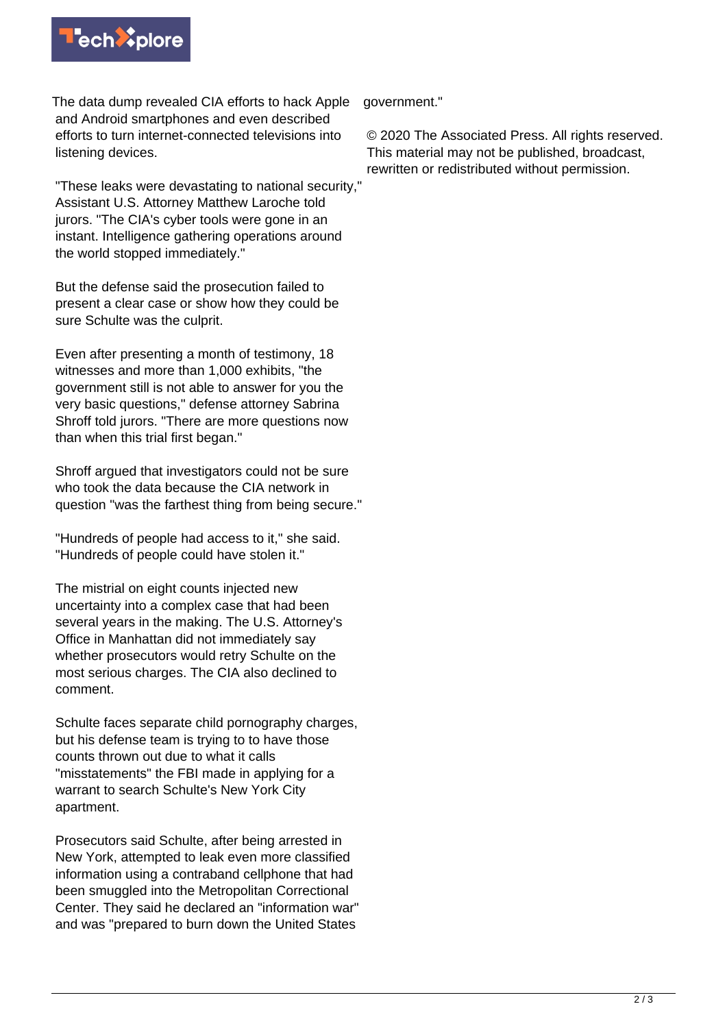

The data dump revealed CIA efforts to hack Apple and Android smartphones and even described efforts to turn internet-connected televisions into listening devices.

"These leaks were devastating to national security," Assistant U.S. Attorney Matthew Laroche told jurors. "The CIA's cyber tools were gone in an instant. Intelligence gathering operations around the world stopped immediately."

But the defense said the prosecution failed to present a clear case or show how they could be sure Schulte was the culprit.

Even after presenting a month of testimony, 18 witnesses and more than 1,000 exhibits, "the government still is not able to answer for you the very basic questions," defense attorney Sabrina Shroff told jurors. "There are more questions now than when this trial first began."

Shroff argued that investigators could not be sure who took the data because the CIA network in question "was the farthest thing from being secure."

"Hundreds of people had access to it," she said. "Hundreds of people could have stolen it."

The mistrial on eight counts injected new uncertainty into a complex case that had been several years in the making. The U.S. Attorney's Office in Manhattan did not immediately say whether prosecutors would retry Schulte on the most serious charges. The CIA also declined to comment.

Schulte faces separate child pornography charges, but his defense team is trying to to have those counts thrown out due to what it calls "misstatements" the FBI made in applying for a warrant to search Schulte's New York City apartment.

Prosecutors said Schulte, after being arrested in New York, attempted to leak even more classified information using a contraband cellphone that had been smuggled into the Metropolitan Correctional Center. They said he declared an "information war" and was "prepared to burn down the United States

government."

© 2020 The Associated Press. All rights reserved. This material may not be published, broadcast, rewritten or redistributed without permission.